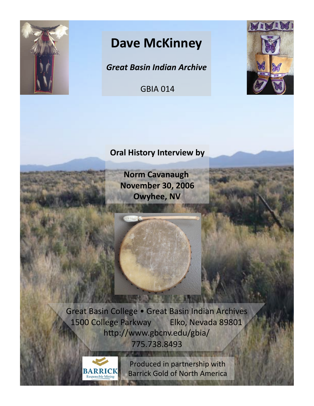

## **Dave McKinney**

*Great Basin Indian Archive*

**GBIA 014** 



## **Oral History Interview by**

**Norm Cavanaugh November 30, 2006 Owyhee, NV** 

кенция

Great Basin College . Great Basin Indian Archives 1500 College Parkway Elko, Nevada 89801 http://www.gbcnv.edu/gbia/ 775.738.8493 

**DEBU ILEBLO** 



Produced in partnership with **Barrick Gold of North America**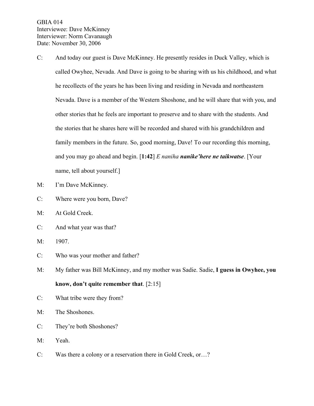GBIA 014 Interviewee: Dave McKinney Interviewer: Norm Cavanaugh Date: November 30, 2006

- C: And today our guest is Dave McKinney. He presently resides in Duck Valley, which is called Owyhee, Nevada. And Dave is going to be sharing with us his childhood, and what he recollects of the years he has been living and residing in Nevada and northeastern Nevada. Dave is a member of the Western Shoshone, and he will share that with you, and other stories that he feels are important to preserve and to share with the students. And the stories that he shares here will be recorded and shared with his grandchildren and family members in the future. So, good morning, Dave! To our recording this morning, and you may go ahead and begin. [**1:42**] *E naniha nanike'here ne taikwatse*. [Your name, tell about yourself.]
- M: I'm Dave McKinney.
- C: Where were you born, Dave?
- M: At Gold Creek.
- C: And what year was that?
- M: 1907.
- C: Who was your mother and father?
- M: My father was Bill McKinney, and my mother was Sadie. Sadie, **I guess in Owyhee, you know, don't quite remember that**. [2:15]
- C: What tribe were they from?
- M: The Shoshones.
- C: They're both Shoshones?
- M: Yeah.
- C: Was there a colony or a reservation there in Gold Creek, or…?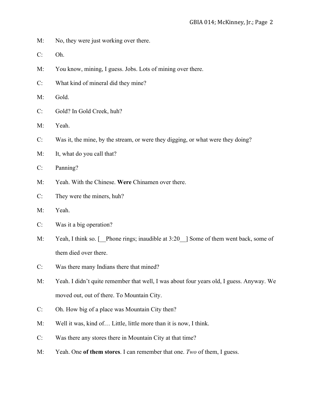- M: No, they were just working over there.
- C: Oh.
- M: You know, mining, I guess. Jobs. Lots of mining over there.
- C: What kind of mineral did they mine?
- M: Gold.
- C: Gold? In Gold Creek, huh?
- M: Yeah.
- C: Was it, the mine, by the stream, or were they digging, or what were they doing?
- M: It, what do you call that?

C: Panning?

- M: Yeah. With the Chinese. **Were** Chinamen over there.
- C: They were the miners, huh?
- M: Yeah.
- C: Was it a big operation?
- M: Yeah, I think so. [ Phone rings; inaudible at 3:20 ] Some of them went back, some of them died over there.
- C: Was there many Indians there that mined?
- M: Yeah. I didn't quite remember that well, I was about four years old, I guess. Anyway. We moved out, out of there. To Mountain City.
- C: Oh. How big of a place was Mountain City then?
- M: Well it was, kind of… Little, little more than it is now, I think.
- C: Was there any stores there in Mountain City at that time?
- M: Yeah. One **of them stores**. I can remember that one. *Two* of them, I guess.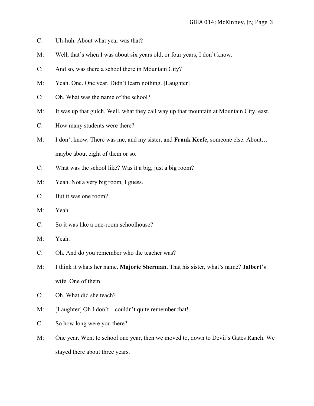- C: Uh-huh. About what year was that?
- M: Well, that's when I was about six years old, or four years, I don't know.
- C: And so, was there a school there in Mountain City?
- M: Yeah. One. One year. Didn't learn nothing. [Laughter]
- C: Oh. What was the name of the school?
- M: It was up that gulch. Well, what they call way up that mountain at Mountain City, east.
- C: How many students were there?
- M: I don't know. There was me, and my sister, and **Frank Keefe**, someone else. About… maybe about eight of them or so.
- C: What was the school like? Was it a big, just a big room?
- M: Yeah. Not a very big room, I guess.
- C: But it was one room?
- M: Yeah.
- C: So it was like a one-room schoolhouse?
- M: Yeah.
- C: Oh. And do you remember who the teacher was?
- M: I think it whats her name. **Majorie Sherman.** That his sister, what's name? **Jalbert's** wife. One of them.
- C: Oh. What did she teach?
- M: [Laughter] Oh I don't—couldn't quite remember that!
- C: So how long were you there?
- M: One year. Went to school one year, then we moved to, down to Devil's Gates Ranch. We stayed there about three years.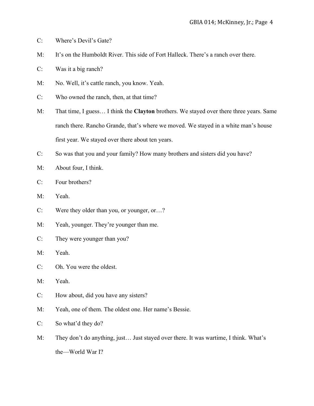- C: Where's Devil's Gate?
- M: It's on the Humboldt River. This side of Fort Halleck. There's a ranch over there.
- C: Was it a big ranch?
- M: No. Well, it's cattle ranch, you know. Yeah.
- C: Who owned the ranch, then, at that time?
- M: That time, I guess… I think the **Clayton** brothers. We stayed over there three years. Same ranch there. Rancho Grande, that's where we moved. We stayed in a white man's house first year. We stayed over there about ten years.
- C: So was that you and your family? How many brothers and sisters did you have?
- M: About four, I think.
- C: Four brothers?
- M: Yeah.
- C: Were they older than you, or younger, or…?
- M: Yeah, younger. They're younger than me.
- C: They were younger than you?
- M: Yeah.
- C: Oh. You were the oldest.
- M: Yeah.
- C: How about, did you have any sisters?
- M: Yeah, one of them. The oldest one. Her name's Bessie.
- C: So what'd they do?
- M: They don't do anything, just… Just stayed over there. It was wartime, I think. What's the—World War I?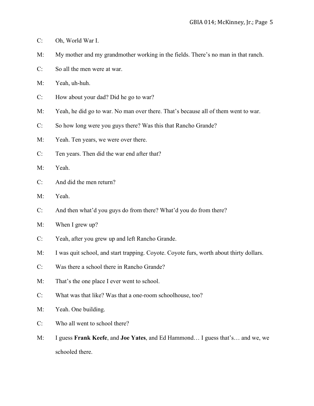- C: Oh, World War I.
- M: My mother and my grandmother working in the fields. There's no man in that ranch.
- C: So all the men were at war.
- M: Yeah, uh-huh.
- C: How about your dad? Did he go to war?
- M: Yeah, he did go to war. No man over there. That's because all of them went to war.
- C: So how long were you guys there? Was this that Rancho Grande?
- M: Yeah. Ten years, we were over there.
- C: Ten years. Then did the war end after that?
- M: Yeah.
- C: And did the men return?
- M: Yeah.
- C: And then what'd you guys do from there? What'd you do from there?
- M: When I grew up?
- C: Yeah, after you grew up and left Rancho Grande.
- M: I was quit school, and start trapping. Coyote. Coyote furs, worth about thirty dollars.
- C: Was there a school there in Rancho Grande?
- M: That's the one place I ever went to school.
- C: What was that like? Was that a one-room schoolhouse, too?
- M: Yeah. One building.
- C: Who all went to school there?
- M: I guess **Frank Keefe**, and **Joe Yates**, and Ed Hammond… I guess that's… and we, we schooled there.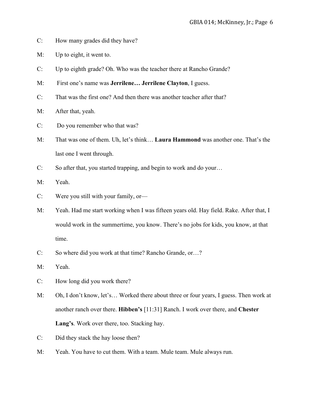- C: How many grades did they have?
- M: Up to eight, it went to.
- C: Up to eighth grade? Oh. Who was the teacher there at Rancho Grande?
- M: First one's name was **Jerrilene… Jerrilene Clayton**, I guess.
- C: That was the first one? And then there was another teacher after that?
- M: After that, yeah.
- C: Do you remember who that was?
- M: That was one of them. Uh, let's think… **Laura Hammond** was another one. That's the last one I went through.
- C: So after that, you started trapping, and begin to work and do your…
- M: Yeah.
- C: Were you still with your family, or—
- M: Yeah. Had me start working when I was fifteen years old. Hay field. Rake. After that, I would work in the summertime, you know. There's no jobs for kids, you know, at that time.
- C: So where did you work at that time? Rancho Grande, or…?
- M: Yeah.
- C: How long did you work there?
- M: Oh, I don't know, let's… Worked there about three or four years, I guess. Then work at another ranch over there. **Hibben's** [11:31] Ranch. I work over there, and **Chester Lang's**. Work over there, too. Stacking hay.
- C: Did they stack the hay loose then?
- M: Yeah. You have to cut them. With a team. Mule team. Mule always run.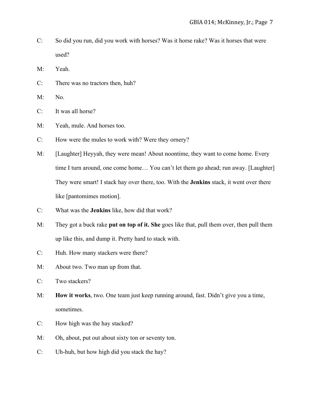- C: So did you run, did you work with horses? Was it horse rake? Was it horses that were used?
- M: Yeah.
- C: There was no tractors then, huh?
- M: No.
- C: It was all horse?
- M: Yeah, mule. And horses too.
- C: How were the mules to work with? Were they ornery?
- M: [Laughter] Heyyah, they were mean! About noontime, they want to come home. Every time I turn around, one come home… You can't let them go ahead; run away. [Laughter] They were smart! I stack hay over there, too. With the **Jenkins** stack, it went over there like [pantomimes motion].
- C: What was the **Jenkins** like, how did that work?
- M: They got a buck rake **put on top of it. She** goes like that, pull them over, then pull them up like this, and dump it. Pretty hard to stack with.
- C: Huh. How many stackers were there?
- M: About two. Two man up from that.
- C: Two stackers?
- M: **How it works**, two. One team just keep running around, fast. Didn't give you a time, sometimes.
- C: How high was the hay stacked?
- M: Oh, about, put out about sixty ton or seventy ton.
- C: Uh-huh, but how high did you stack the hay?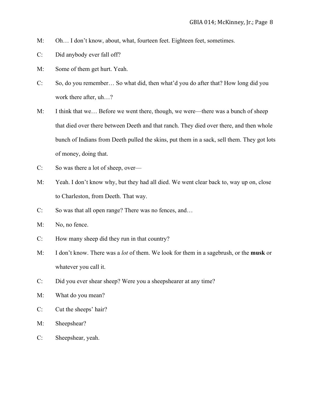- M: Oh… I don't know, about, what, fourteen feet. Eighteen feet, sometimes.
- C: Did anybody ever fall off?
- M: Some of them get hurt. Yeah.
- C: So, do you remember… So what did, then what'd you do after that? How long did you work there after, uh…?
- M: I think that we… Before we went there, though, we were—there was a bunch of sheep that died over there between Deeth and that ranch. They died over there, and then whole bunch of Indians from Deeth pulled the skins, put them in a sack, sell them. They got lots of money, doing that.
- C: So was there a lot of sheep, over—
- M: Yeah. I don't know why, but they had all died. We went clear back to, way up on, close to Charleston, from Deeth. That way.
- C: So was that all open range? There was no fences, and…
- M: No, no fence.
- C: How many sheep did they run in that country?
- M: I don't know. There was a *lot* of them. We look for them in a sagebrush, or the **musk** or whatever you call it.
- C: Did you ever shear sheep? Were you a sheepshearer at any time?
- M: What do you mean?
- C: Cut the sheeps' hair?
- M: Sheepshear?
- C: Sheepshear, yeah.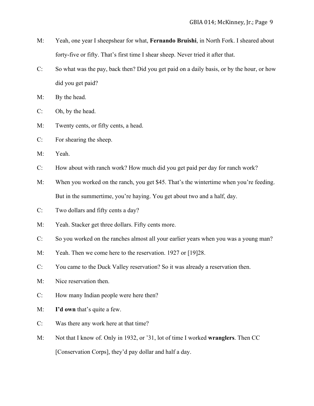- M: Yeah, one year I sheepshear for what, **Fernando Bruishi**, in North Fork. I sheared about forty-five or fifty. That's first time I shear sheep. Never tried it after that.
- C: So what was the pay, back then? Did you get paid on a daily basis, or by the hour, or how did you get paid?
- M: By the head.
- C: Oh, by the head.
- M: Twenty cents, or fifty cents, a head.
- C: For shearing the sheep.
- M: Yeah.
- C: How about with ranch work? How much did you get paid per day for ranch work?
- M: When you worked on the ranch, you get \$45. That's the wintertime when you're feeding. But in the summertime, you're haying. You get about two and a half, day.
- C: Two dollars and fifty cents a day?
- M: Yeah. Stacker get three dollars. Fifty cents more.
- C: So you worked on the ranches almost all your earlier years when you was a young man?
- M: Yeah. Then we come here to the reservation. 1927 or [19] 28.
- C: You came to the Duck Valley reservation? So it was already a reservation then.
- M: Nice reservation then.
- C: How many Indian people were here then?
- M: **I'd own** that's quite a few.
- C: Was there any work here at that time?
- M: Not that I know of. Only in 1932, or '31, lot of time I worked **wranglers**. Then CC [Conservation Corps], they'd pay dollar and half a day.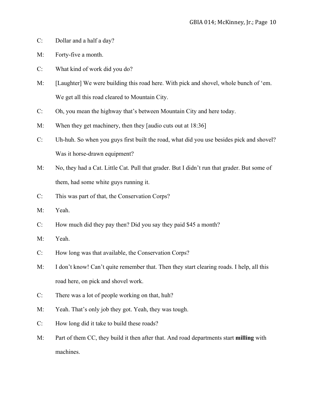- C: Dollar and a half a day?
- M: Forty-five a month.
- C: What kind of work did you do?
- M: [Laughter] We were building this road here. With pick and shovel, whole bunch of 'em. We get all this road cleared to Mountain City.
- C: Oh, you mean the highway that's between Mountain City and here today.
- M: When they get machinery, then they [audio cuts out at 18:36]
- C: Uh-huh. So when you guys first built the road, what did you use besides pick and shovel? Was it horse-drawn equipment?
- M: No, they had a Cat. Little Cat. Pull that grader. But I didn't run that grader. But some of them, had some white guys running it.
- C: This was part of that, the Conservation Corps?
- M: Yeah.
- C: How much did they pay then? Did you say they paid \$45 a month?
- M: Yeah.
- C: How long was that available, the Conservation Corps?
- M: I don't know! Can't quite remember that. Then they start clearing roads. I help, all this road here, on pick and shovel work.
- C: There was a lot of people working on that, huh?
- M: Yeah. That's only job they got. Yeah, they was tough.
- C: How long did it take to build these roads?
- M: Part of them CC, they build it then after that. And road departments start **milling** with machines.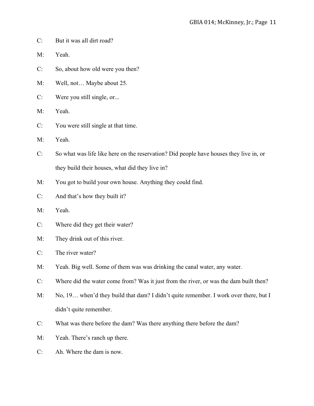- C: But it was all dirt road?
- M: Yeah.
- C: So, about how old were you then?
- M: Well, not… Maybe about 25.
- C: Were you still single, or...
- M: Yeah.
- C: You were still single at that time.
- M: Yeah.
- C: So what was life like here on the reservation? Did people have houses they live in, or they build their houses, what did they live in?
- M: You got to build your own house. Anything they could find.
- C: And that's how they built it?
- M: Yeah.
- C: Where did they get their water?
- M: They drink out of this river.
- C: The river water?
- M: Yeah. Big well. Some of them was was drinking the canal water, any water.
- C: Where did the water come from? Was it just from the river, or was the dam built then?
- M: No, 19... when'd they build that dam? I didn't quite remember. I work over there, but I didn't quite remember.
- C: What was there before the dam? Was there anything there before the dam?
- M: Yeah. There's ranch up there.
- C: Ah. Where the dam is now.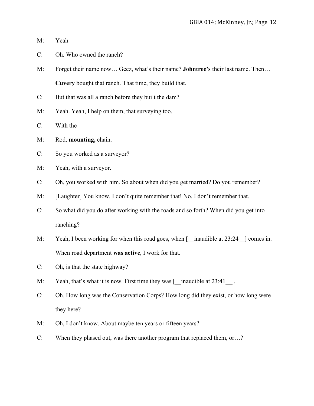- M: Yeah
- C: Oh. Who owned the ranch?
- M: Forget their name now… Geez, what's their name? **Johntree's** their last name. Then… **Cuvery** bought that ranch. That time, they build that.
- C: But that was all a ranch before they built the dam?
- M: Yeah. Yeah, I help on them, that surveying too.
- C: With the—
- M: Rod, **mounting,** chain.
- C: So you worked as a surveyor?
- M: Yeah, with a surveyor.
- C: Oh, you worked with him. So about when did you get married? Do you remember?
- M: [Laughter] You know, I don't quite remember that! No, I don't remember that.
- C: So what did you do after working with the roads and so forth? When did you get into ranching?
- M: Yeah, I been working for when this road goes, when [ \_inaudible at 23:24 \_] comes in. When road department **was active**, I work for that.
- C: Oh, is that the state highway?
- M: Yeah, that's what it is now. First time they was [ \_\_inaudible at 23:41 \_\_].
- C: Oh. How long was the Conservation Corps? How long did they exist, or how long were they here?
- M: Oh, I don't know. About maybe ten years or fifteen years?
- C: When they phased out, was there another program that replaced them, or…?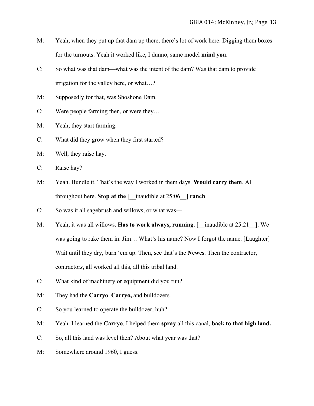- M: Yeah, when they put up that dam up there, there's lot of work here. Digging them boxes for the turnouts. Yeah it worked like, I dunno, same model **mind you**.
- C: So what was that dam—what was the intent of the dam? Was that dam to provide irrigation for the valley here, or what…?
- M: Supposedly for that, was Shoshone Dam.
- C: Were people farming then, or were they…
- M: Yeah, they start farming.
- C: What did they grow when they first started?
- M: Well, they raise hay.
- C: Raise hay?
- M: Yeah. Bundle it. That's the way I worked in them days. **Would carry them**. All throughout here. **Stop at the** [\_\_inaudible at 25:06\_\_] **ranch**.
- C: So was it all sagebrush and willows, or what was—
- M: Yeah, it was all willows. **Has to work always, running.** [ \_inaudible at 25:21 \_ ]. We was going to rake them in. Jim… What's his name? Now I forgot the name. [Laughter] Wait until they dry, burn 'em up. Then, see that's the **Newes**. Then the contractor, contractor*s*, all worked all this, all this tribal land.
- C: What kind of machinery or equipment did you run?
- M: They had the **Carryo**. **Carryo,** and bulldozers.
- C: So you learned to operate the bulldozer, huh?
- M: Yeah. I learned the **Carryo**. I helped them **spray** all this canal, **back to that high land.**
- C: So, all this land was level then? About what year was that?
- M: Somewhere around 1960, I guess.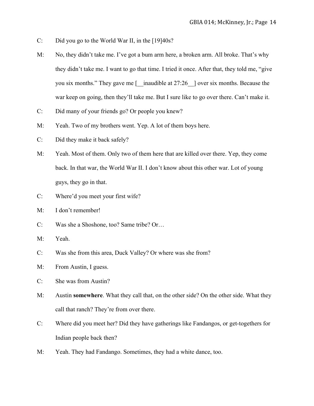- C: Did you go to the World War II, in the [19]40s?
- M: No, they didn't take me. I've got a bum arm here, a broken arm. All broke. That's why they didn't take me. I want to go that time. I tried it once. After that, they told me, "give you six months." They gave me  $\lceil \quad$  inaudible at 27:26  $\quad$  over six months. Because the war keep on going, then they'll take me. But I sure like to go over there. Can't make it.
- C: Did many of your friends go? Or people you knew?
- M: Yeah. Two of my brothers went. Yep. A lot of them boys here.
- C: Did they make it back safely?
- M: Yeah. Most of them. Only two of them here that are killed over there. Yep, they come back. In that war, the World War II. I don't know about this other war. Lot of young guys, they go in that.
- C: Where'd you meet your first wife?
- M: I don't remember!
- C: Was she a Shoshone, too? Same tribe? Or…
- M: Yeah.
- C: Was she from this area, Duck Valley? Or where was she from?
- M: From Austin, I guess.
- C: She was from Austin?
- M: Austin **somewhere**. What they call that, on the other side? On the other side. What they call that ranch? They're from over there.
- C: Where did you meet her? Did they have gatherings like Fandangos, or get-togethers for Indian people back then?
- M: Yeah. They had Fandango. Sometimes, they had a white dance, too.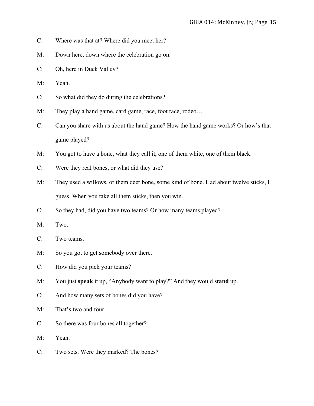- C: Where was that at? Where did you meet her?
- M: Down here, down where the celebration go on.
- C: Oh, here in Duck Valley?
- M: Yeah.
- C: So what did they do during the celebrations?
- M: They play a hand game, card game, race, foot race, rodeo...
- C: Can you share with us about the hand game? How the hand game works? Or how's that game played?
- M: You got to have a bone, what they call it, one of them white, one of them black.
- C: Were they real bones, or what did they use?
- M: They used a willows, or them deer bone, some kind of bone. Had about twelve sticks, I guess. When you take all them sticks, then you win.
- C: So they had, did you have two teams? Or how many teams played?
- M: Two.
- C: Two teams.
- M: So you got to get somebody over there.
- C: How did you pick your teams?
- M: You just **speak** it up, "Anybody want to play?" And they would **stand** up.
- C: And how many sets of bones did you have?
- M: That's two and four.
- C: So there was four bones all together?
- M: Yeah.
- C: Two sets. Were they marked? The bones?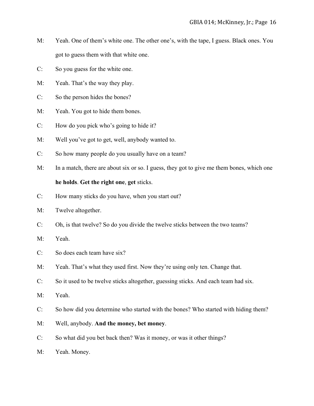- M: Yeah. One of them's white one. The other one's, with the tape, I guess. Black ones. You got to guess them with that white one.
- C: So you guess for the white one.
- M: Yeah. That's the way they play.
- C: So the person hides the bones?
- M: Yeah. You got to hide them bones.
- C: How do you pick who's going to hide it?
- M: Well you've got to get, well, anybody wanted to.
- C: So how many people do you usually have on a team?
- M: In a match, there are about six or so. I guess, they got to give me them bones, which one **he holds**. **Get the right one**, **get** sticks.
- C: How many sticks do you have, when you start out?
- M: Twelve altogether.
- C: Oh, is that twelve? So do you divide the twelve sticks between the two teams?
- M: Yeah.
- C: So does each team have six?
- M: Yeah. That's what they used first. Now they're using only ten. Change that.
- C: So it used to be twelve sticks altogether, guessing sticks. And each team had six.
- M: Yeah.
- C: So how did you determine who started with the bones? Who started with hiding them?
- M: Well, anybody. **And the money, bet money**.
- C: So what did you bet back then? Was it money, or was it other things?
- M: Yeah. Money.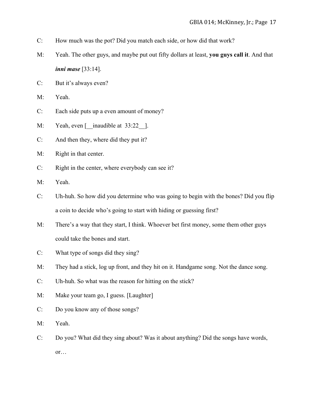- C: How much was the pot? Did you match each side, or how did that work?
- M: Yeah. The other guys, and maybe put out fifty dollars at least, **you guys call it**. And that *inni mase* [33:14].
- C: But it's always even?
- M: Yeah.
- C: Each side puts up a even amount of money?
- M: Yeah, even [\_\_inaudible at 33:22 \_ ].
- C: And then they, where did they put it?
- M: Right in that center.
- C: Right in the center, where everybody can see it?
- M: Yeah.
- C: Uh-huh. So how did you determine who was going to begin with the bones? Did you flip a coin to decide who's going to start with hiding or guessing first?
- M: There's a way that they start, I think. Whoever bet first money, some them other guys could take the bones and start.
- C: What type of songs did they sing?
- M: They had a stick, log up front, and they hit on it. Handgame song. Not the dance song.
- C: Uh-huh. So what was the reason for hitting on the stick?
- M: Make your team go, I guess. [Laughter]
- C: Do you know any of those songs?
- M: Yeah.
- C: Do you? What did they sing about? Was it about anything? Did the songs have words, or…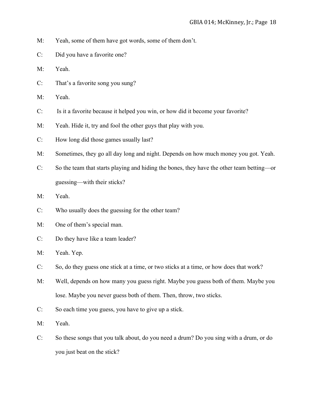- M: Yeah, some of them have got words, some of them don't.
- C: Did you have a favorite one?
- M: Yeah.
- C: That's a favorite song you sung?
- M: Yeah.
- C: Is it a favorite because it helped you win, or how did it become your favorite?
- M: Yeah. Hide it, try and fool the other guys that play with you.
- C: How long did those games usually last?
- M: Sometimes, they go all day long and night. Depends on how much money you got. Yeah.
- C: So the team that starts playing and hiding the bones, they have the other team betting—or guessing—with their sticks?
- M: Yeah.
- C: Who usually does the guessing for the other team?
- M: One of them's special man.
- C: Do they have like a team leader?
- M: Yeah. Yep.
- C: So, do they guess one stick at a time, or two sticks at a time, or how does that work?
- M: Well, depends on how many you guess right. Maybe you guess both of them. Maybe you lose. Maybe you never guess both of them. Then, throw, two sticks.
- C: So each time you guess, you have to give up a stick.
- M: Yeah.
- C: So these songs that you talk about, do you need a drum? Do you sing with a drum, or do you just beat on the stick?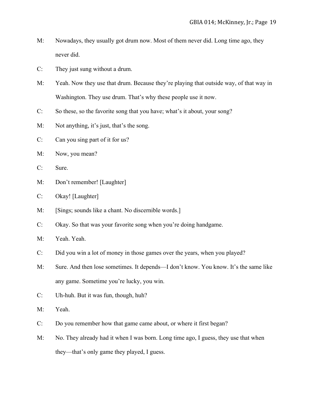- M: Nowadays, they usually got drum now. Most of them never did. Long time ago, they never did.
- C: They just sung without a drum.
- M: Yeah. Now they use that drum. Because they're playing that outside way, of that way in Washington. They use drum. That's why these people use it now.
- C: So these, so the favorite song that you have; what's it about, your song?
- M: Not anything, it's just, that's the song.
- C: Can you sing part of it for us?
- M: Now, you mean?
- C: Sure.
- M: Don't remember! [Laughter]
- C: Okay! [Laughter]
- M: [Sings; sounds like a chant. No discernible words.]
- C: Okay. So that was your favorite song when you're doing handgame.
- M: Yeah. Yeah.
- C: Did you win a lot of money in those games over the years, when you played?
- M: Sure. And then lose sometimes. It depends—I don't know. You know. It's the same like any game. Sometime you're lucky, you win.
- C: Uh-huh. But it was fun, though, huh?
- M: Yeah.
- C: Do you remember how that game came about, or where it first began?
- M: No. They already had it when I was born. Long time ago, I guess, they use that when they—that's only game they played, I guess.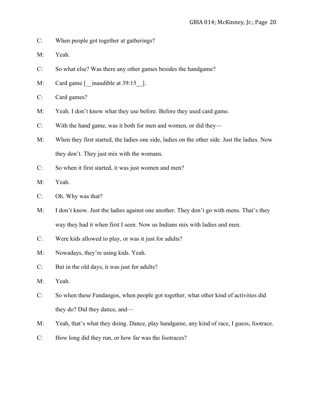- C: When people got together at gatherings?
- M: Yeah.
- C: So what else? Was there any other games besides the handgame?
- M: Card game [\_\_inaudible at 39:15 \_ ].
- C: Card games?
- M: Yeah. I don't know what they use before. Before they used card game.
- C: With the hand game, was it both for men and women, or did they—
- M: When they first started, the ladies one side, ladies on the other side. Just the ladies. Now they don't. They just mix with the womans.
- C: So when it first started, it was just women and men?
- M: Yeah.
- C: Oh. Why was that?
- M: I don't know. Just the ladies against one another. They don't go with mens. That's they way they had it when first I seen. Now us Indians mix with ladies and men.
- C: Were kids allowed to play, or was it just for adults?
- M: Nowadays, they're using kids. Yeah.
- C: But in the old days, it was just for adults?
- M: Yeah.
- C: So when these Fandangos, when people got together, what other kind of activities did they do? Did they dance, and—
- M: Yeah, that's what they doing. Dance, play handgame, any kind of race, I guess, footrace.
- C: How long did they run, or how far was the footraces?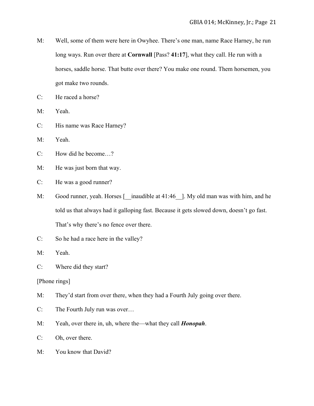- M: Well, some of them were here in Owyhee. There's one man, name Race Harney, he run long ways. Run over there at **Cornwall** [Pass? **41:17**], what they call. He run with a horses, saddle horse. That butte over there? You make one round. Them horsemen, you got make two rounds.
- C: He raced a horse?
- M: Yeah.
- C: His name was Race Harney?
- M: Yeah.
- C: How did he become…?
- M: He was just born that way.
- C: He was a good runner?
- M: Good runner, yeah. Horses [\_\_inaudible at 41:46\_]. My old man was with him, and he told us that always had it galloping fast. Because it gets slowed down, doesn't go fast. That's why there's no fence over there.
- C: So he had a race here in the valley?
- M: Yeah.
- C: Where did they start?

[Phone rings]

- M: They'd start from over there, when they had a Fourth July going over there.
- C: The Fourth July run was over…
- M: Yeah, over there in, uh, where the—what they call *Honopah*.
- C: Oh, over there.
- M: You know that David?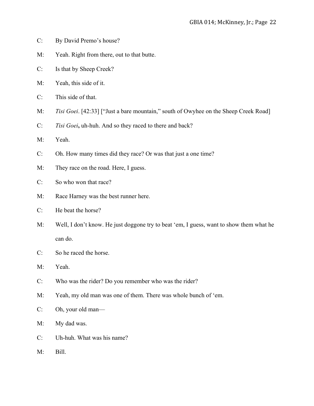- C: By David Premo's house?
- M: Yeah. Right from there, out to that butte.
- C: Is that by Sheep Creek?
- M: Yeah, this side of it.
- C: This side of that.
- M: *Tisi Goei*. [42:33] ["Just a bare mountain," south of Owyhee on the Sheep Creek Road]
- C: *Tisi Goei***,** uh-huh. And so they raced to there and back?
- M: Yeah.
- C: Oh. How many times did they race? Or was that just a one time?
- M: They race on the road. Here, I guess.
- C: So who won that race?
- M: Race Harney was the best runner here.
- C: He beat the horse?
- M: Well, I don't know. He just doggone try to beat 'em, I guess, want to show them what he can do.
- C: So he raced the horse.
- M: Yeah.
- C: Who was the rider? Do you remember who was the rider?
- M: Yeah, my old man was one of them. There was whole bunch of 'em.
- C: Oh, your old man—
- M: My dad was.
- C: Uh-huh. What was his name?
- M: Bill.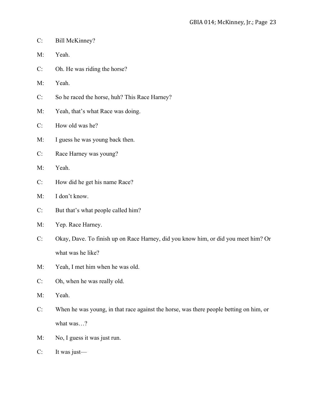- C: Bill McKinney?
- M: Yeah.
- C: Oh. He was riding the horse?
- M: Yeah.
- C: So he raced the horse, huh? This Race Harney?
- M: Yeah, that's what Race was doing.
- C: How old was he?
- M: I guess he was young back then.
- C: Race Harney was young?
- M: Yeah.
- C: How did he get his name Race?
- M: I don't know.
- C: But that's what people called him?
- M: Yep. Race Harney.
- C: Okay, Dave. To finish up on Race Harney, did you know him, or did you meet him? Or what was he like?
- M: Yeah, I met him when he was old.
- C: Oh, when he was really old.
- M: Yeah.
- C: When he was young, in that race against the horse, was there people betting on him, or what was...?
- M: No, I guess it was just run.
- C: It was just—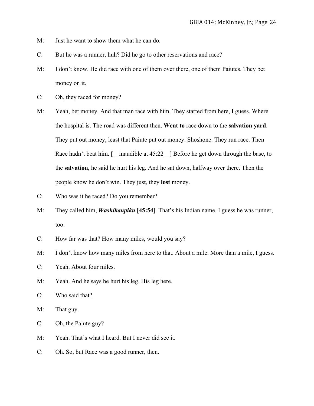- M: Just he want to show them what he can do.
- C: But he was a runner, huh? Did he go to other reservations and race?
- M: I don't know. He did race with one of them over there, one of them Paiutes. They bet money on it.
- C: Oh, they raced for money?
- M: Yeah, bet money. And that man race with him. They started from here, I guess. Where the hospital is. The road was different then. **Went to** race down to the **salvation yard**. They put out money, least that Paiute put out money. Shoshone. They run race. Then Race hadn't beat him.  $\lceil \frac{1}{2} \cdot \frac{1}{2} \rceil$  Before he get down through the base, to the **salvation**, he said he hurt his leg. And he sat down, halfway over there. Then the people know he don't win. They just, they **lost** money.
- C: Who was it he raced? Do you remember?
- M: They called him, *Washikanpiku* [**45:54**]. That's his Indian name. I guess he was runner, too.
- C: How far was that? How many miles, would you say?
- M: I don't know how many miles from here to that. About a mile. More than a mile, I guess.
- C: Yeah. About four miles.
- M: Yeah. And he says he hurt his leg. His leg here.
- C: Who said that?
- M: That guy.
- C: Oh, the Paiute guy?
- M: Yeah. That's what I heard. But I never did see it.
- C: Oh. So, but Race was a good runner, then.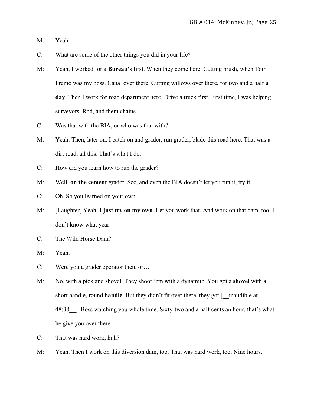- M: Yeah.
- C: What are some of the other things you did in your life?
- M: Yeah, I worked for a **Bureau's** first. When they come here. Cutting brush, when Tom Premo was my boss. Canal over there. Cutting willows over there, for two and a half **a day**. Then I work for road department here. Drive a truck first. First time, I was helping surveyors. Rod, and them chains.
- C: Was that with the BIA, or who was that with?
- M: Yeah. Then, later on, I catch on and grader, run grader, blade this road here. That was a dirt road, all this. That's what I do.
- C: How did you learn how to run the grader?
- M: Well, **on the cement** grader. See, and even the BIA doesn't let you run it, try it.
- C: Oh. So you learned on your own.
- M: [Laughter] Yeah. **I just try on my own**. Let you work that. And work on that dam, too. I don't know what year.
- C: The Wild Horse Dam?
- M: Yeah.
- C: Were you a grader operator then, or…
- M: No, with a pick and shovel. They shoot 'em with a dynamite. You got a **shovel** with a short handle, round **handle**. But they didn't fit over there, they got [ \_\_inaudible at 48:38 I. Boss watching you whole time. Sixty-two and a half cents an hour, that's what he give you over there.
- C: That was hard work, huh?
- M: Yeah. Then I work on this diversion dam, too. That was hard work, too. Nine hours.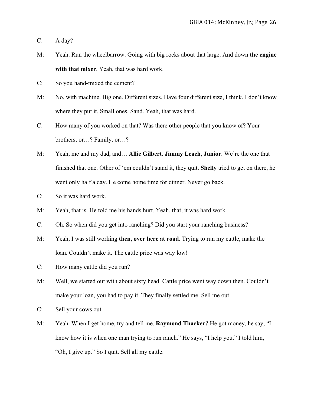C: A day?

- M: Yeah. Run the wheelbarrow. Going with big rocks about that large. And down **the engine with that mixer**. Yeah, that was hard work.
- C: So you hand-mixed the cement?
- M: No, with machine. Big one. Different sizes. Have four different size, I think. I don't know where they put it. Small ones. Sand. Yeah, that was hard.
- C: How many of you worked on that? Was there other people that you know of? Your brothers, or…? Family, or…?
- M: Yeah, me and my dad, and… **Allie Gilbert**. **Jimmy Leach**, **Junior**. We're the one that finished that one. Other of 'em couldn't stand it, they quit. **Shelly** tried to get on there, he went only half a day. He come home time for dinner. Never go back.
- C: So it was hard work.
- M: Yeah, that is. He told me his hands hurt. Yeah, that, it was hard work.
- C: Oh. So when did you get into ranching? Did you start your ranching business?
- M: Yeah, I was still working **then, over here at road**. Trying to run my cattle, make the loan. Couldn't make it. The cattle price was way low!
- C: How many cattle did you run?
- M: Well, we started out with about sixty head. Cattle price went way down then. Couldn't make your loan, you had to pay it. They finally settled me. Sell me out.
- C: Sell your cows out.
- M: Yeah. When I get home, try and tell me. **Raymond Thacker?** He got money, he say, "I know how it is when one man trying to run ranch." He says, "I help you." I told him, "Oh, I give up." So I quit. Sell all my cattle.